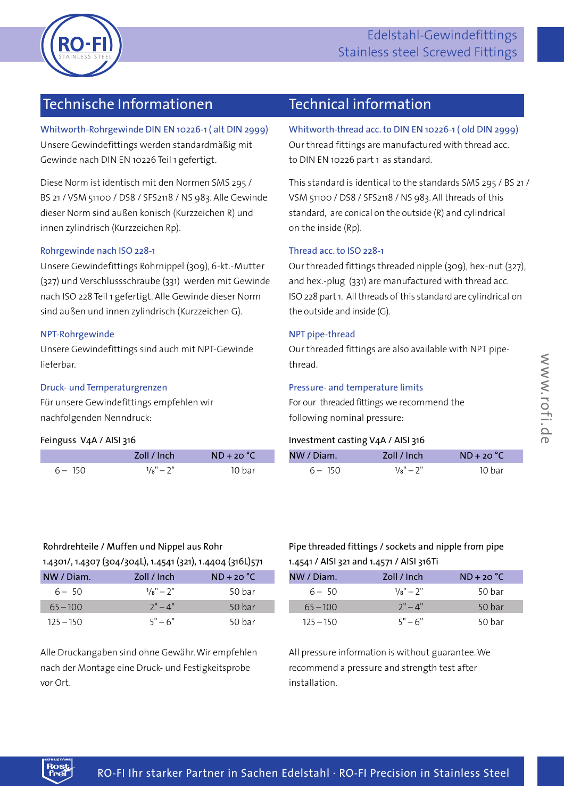

# Edelstahl-Gewindefittings Stainless steel Screwed Fittings

# 301 Technische Informationen Technical information

Whitworth-Rohrgewinde DIN EN 10226-1 ( alt DIN 2999) Unsere Gewindefittings werden standardmäßig mit Gewinde nach DIN EN 10226 Teil 1gefertigt.

Diese Norm ist identisch mit den Normen SMS 295 / BS 21 / VSM 51100 / DS8 / SFS2118 / NS 983. Alle Gewinde dieser Norm sindaußen konisch (Kurzzeichen R) und innen zylindrisch (Kurzzeichen Rp).

### Rohrgewinde nach ISO 228-1

Unsere Gewindefittings Rohrnippel (309), 6-kt.-Mutter (327) und Verschlussschraube (331) werden mit Gewinde nach ISO 228 Teil 1 gefertigt. Alle Gewinde dieser Norm sind außen und innen zylindrisch (Kurzzeichen G).

### NPT-Rohrgewinde

Unsere Gewindefittings sindauch mit NPT-Gewinde lieferbar.

### Druck- und Temperaturgrenzen

Für unsere Gewindefittings empfehlen wir nachfolgenden Nenndruck:

### Feinguss V4A / AISI 316

|           | Zoll / Inch        | $ND + 20 °C$ |
|-----------|--------------------|--------------|
| $6 - 150$ | $1/\circ$ " $-2$ " | 10 har       |

Whitworth-thread acc.to DIN EN 10226-1 ( old DIN 2999) Our thread fittings are manufactured with thread acc. to DIN EN 10226 part 1 as standard.

This standard is identical to the standards SMS 295 / BS 21 / VSM 51100 / DS8 / SFS2118 / NS 983. All threads of this standard, are conical on the outside (R) and cylindrical on the inside (Rp).

### Thread acc.to ISO 228-1

Our threaded fittings threaded nipple (309), hex-nut (327), and hex.-plug (331) are manufactured with thread acc. ISO 228 part 1. All threads of this standard are cylindrical on the outside and inside (G).

### NPT pipe-thread

Our threaded fittings are also available with NPT pipethread.

### Pressure- and temperature limits

For our threaded fittings we recommend the following nominal pressure:

## Investment casting V4A / AISI 316

|                  | ncn                           | $\sim$<br>$\sim$ | Diam.                |                                  |     |
|------------------|-------------------------------|------------------|----------------------|----------------------------------|-----|
| $6 - 150$<br>___ | $\sim$<br>.<br>$10^{-1}$<br>∸ | bar<br>____      | 150<br>$\sim$ $\sim$ | $\sim$<br>$\frac{1}{8} - 2$<br>- | bar |

# Rohrdrehteile / Muffen und Nippel aus Rohr

| 1.4301/, 1.4307 (304/304L), 1.4541 (321), 1.4404 (316L)571 |               |                   |  |  |  |  |  |
|------------------------------------------------------------|---------------|-------------------|--|--|--|--|--|
| NW / Diam.                                                 | Zoll / Inch   | $ND + 20 °C$      |  |  |  |  |  |
| $6 - 50$                                                   | $1/s'' - 2''$ | 50 bar            |  |  |  |  |  |
| $65 - 100$                                                 | $7" - 4"$     | 50 <sub>bar</sub> |  |  |  |  |  |
| $125 - 150$                                                | $5" - 6"$     | 50 har            |  |  |  |  |  |

Alle Druckangaben sindohne Gewähr.Wir empfehlen nach der Montage eine Druck- und Festigkeitsprobe vor Ort.

## Pipe threaded fittings / sockets and nipple from pipe 1.4541 / AISI 321 and 1.4571 / AISI 316Ti

| $ND + 20 °C$ | Zoll / Inch   | NW / Diam.  |
|--------------|---------------|-------------|
| 50 bar       | $1/s'' - 2''$ | $6 - 50$    |
| 50 bar       | $7" - 4"$     | $65 - 100$  |
| 50 bar       | $5" - 6"$     | $125 - 150$ |

All pressure information is without guarantee.We recommend a pressure and strength test after installation.